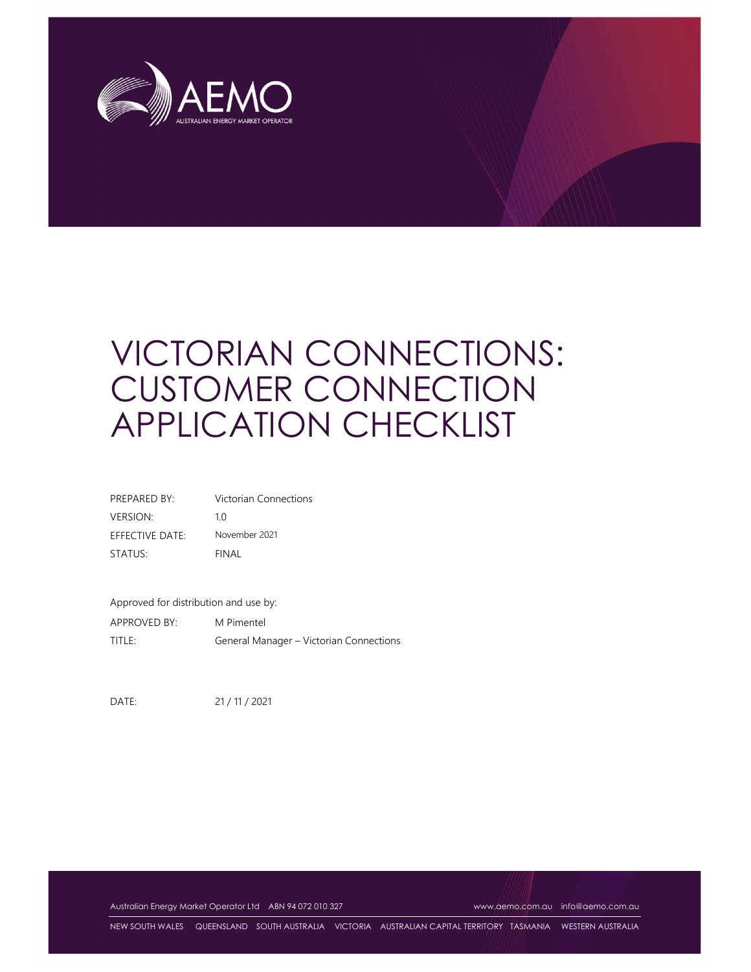

# VICTORIAN CONNECTIONS: CUSTOMER CONNECTION APPLICATION CHECKLIST

| PREPARED BY:    | Victorian Connections |
|-----------------|-----------------------|
| <b>VERSION:</b> | 10                    |
| EFFECTIVE DATE: | November 2021         |
| STATUS:         | FINAL                 |

Approved for distribution and use by: APPROVED BY: M Pimentel TITLE: General Manager – Victorian Connections

DATE: 21 / 11 / 2021

Australian Energy Market Operator Ltd ABN 94 072 010 327 www.aemo.com.au info@aemo.com.au

NEW SOUTH WALES QUEENSLAND SOUTH AUSTRALIA VICTORIA AUSTRALIAN CAPITAL TERRITORY TASMANIA WESTERN AUSTRALIA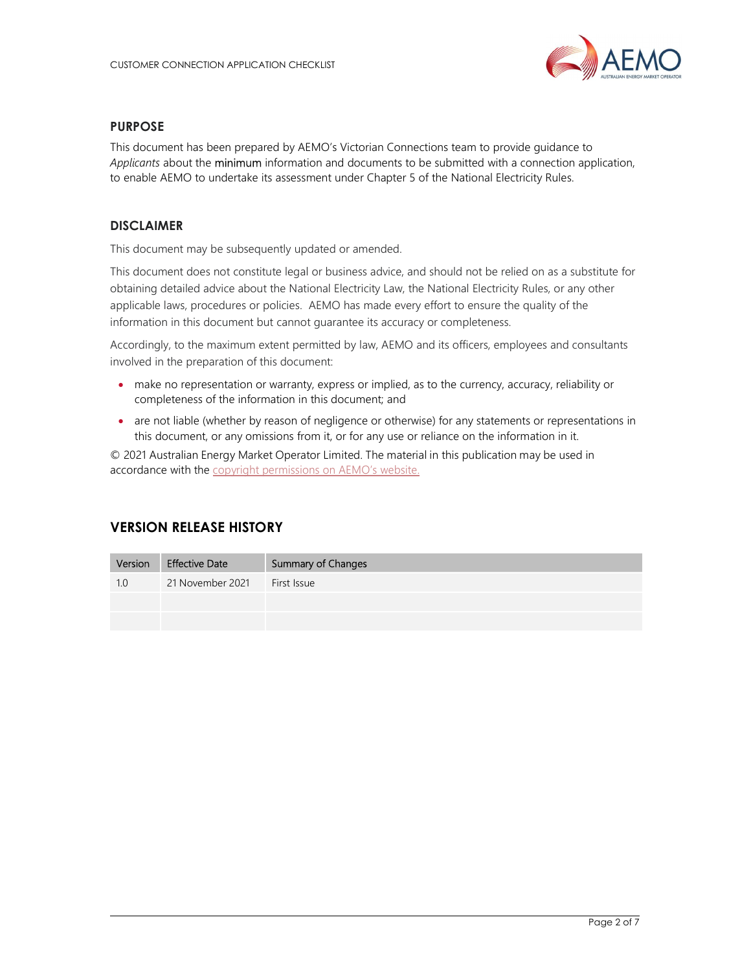

#### PURPOSE

This document has been prepared by AEMO's Victorian Connections team to provide guidance to Applicants about the minimum information and documents to be submitted with a connection application, to enable AEMO to undertake its assessment under Chapter 5 of the National Electricity Rules.

### DISCLAIMER

This document may be subsequently updated or amended.

This document does not constitute legal or business advice, and should not be relied on as a substitute for obtaining detailed advice about the National Electricity Law, the National Electricity Rules, or any other applicable laws, procedures or policies. AEMO has made every effort to ensure the quality of the information in this document but cannot guarantee its accuracy or completeness.

Accordingly, to the maximum extent permitted by law, AEMO and its officers, employees and consultants involved in the preparation of this document:

- make no representation or warranty, express or implied, as to the currency, accuracy, reliability or completeness of the information in this document; and
- are not liable (whether by reason of negligence or otherwise) for any statements or representations in this document, or any omissions from it, or for any use or reliance on the information in it.

© 2021 Australian Energy Market Operator Limited. The material in this publication may be used in accordance with the copyright permissions on AEMO's website.

# VERSION RELEASE HISTORY

| Version | <b>Effective Date</b> | <b>Summary of Changes</b> |
|---------|-----------------------|---------------------------|
| 1.0     | 21 November 2021      | First Issue               |
|         |                       |                           |
|         |                       |                           |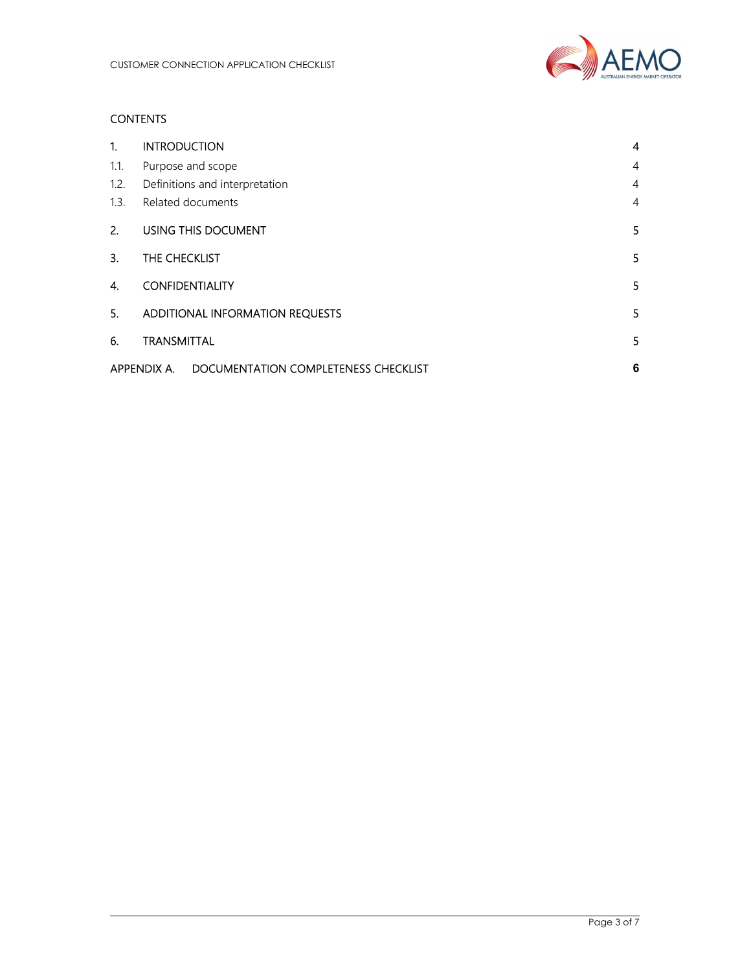

## **CONTENTS**

| 1.   | <b>INTRODUCTION</b>                                 | 4              |
|------|-----------------------------------------------------|----------------|
| 1.1. | Purpose and scope                                   | $\overline{4}$ |
| 1.2. | Definitions and interpretation                      | $\overline{4}$ |
| 1.3. | Related documents                                   | $\overline{4}$ |
| 2.   | USING THIS DOCUMENT                                 | 5              |
| 3.   | THE CHECKLIST                                       | 5              |
| 4.   | <b>CONFIDENTIALITY</b>                              | 5              |
| 5.   | ADDITIONAL INFORMATION REQUESTS                     | 5              |
| 6.   | <b>TRANSMITTAL</b>                                  | 5              |
|      | DOCUMENTATION COMPLETENESS CHECKLIST<br>APPENDIX A. | 6              |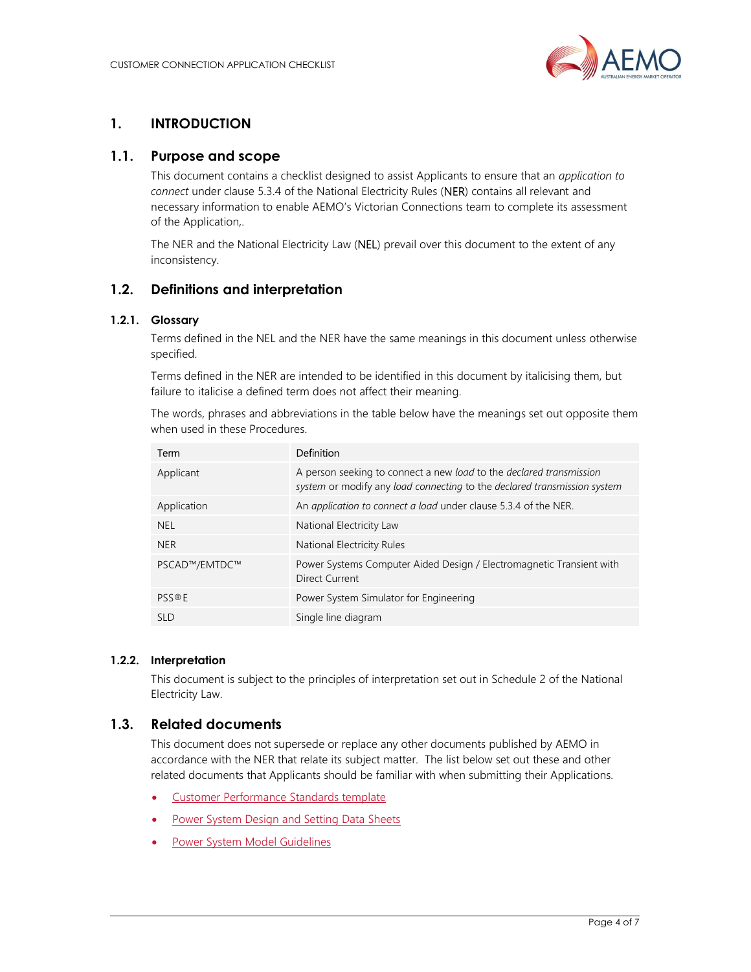

# 1. INTRODUCTION

## 1.1. Purpose and scope

This document contains a checklist designed to assist Applicants to ensure that an application to connect under clause 5.3.4 of the National Electricity Rules (NER) contains all relevant and necessary information to enable AEMO's Victorian Connections team to complete its assessment of the Application,.

The NER and the National Electricity Law (NEL) prevail over this document to the extent of any inconsistency.

## 1.2. Definitions and interpretation

#### 1.2.1. Glossary

Terms defined in the NEL and the NER have the same meanings in this document unless otherwise specified.

Terms defined in the NER are intended to be identified in this document by italicising them, but failure to italicise a defined term does not affect their meaning.

The words, phrases and abbreviations in the table below have the meanings set out opposite them when used in these Procedures.

| Term          | Definition                                                                                                                                      |
|---------------|-------------------------------------------------------------------------------------------------------------------------------------------------|
| Applicant     | A person seeking to connect a new load to the declared transmission<br>system or modify any load connecting to the declared transmission system |
| Application   | An application to connect a load under clause 5.3.4 of the NER.                                                                                 |
| NEL.          | National Electricity Law                                                                                                                        |
| <b>NER</b>    | National Electricity Rules                                                                                                                      |
| PSCAD™/EMTDC™ | Power Systems Computer Aided Design / Electromagnetic Transient with<br>Direct Current                                                          |
| <b>PSS®F</b>  | Power System Simulator for Engineering                                                                                                          |
| <b>SLD</b>    | Single line diagram                                                                                                                             |

#### 1.2.2. Interpretation

This document is subject to the principles of interpretation set out in Schedule 2 of the National Electricity Law.

## 1.3. Related documents

This document does not supersede or replace any other documents published by AEMO in accordance with the NER that relate its subject matter. The list below set out these and other related documents that Applicants should be familiar with when submitting their Applications.

- Customer Performance Standards template
- Power System Design and Setting Data Sheets
- Power System Model Guidelines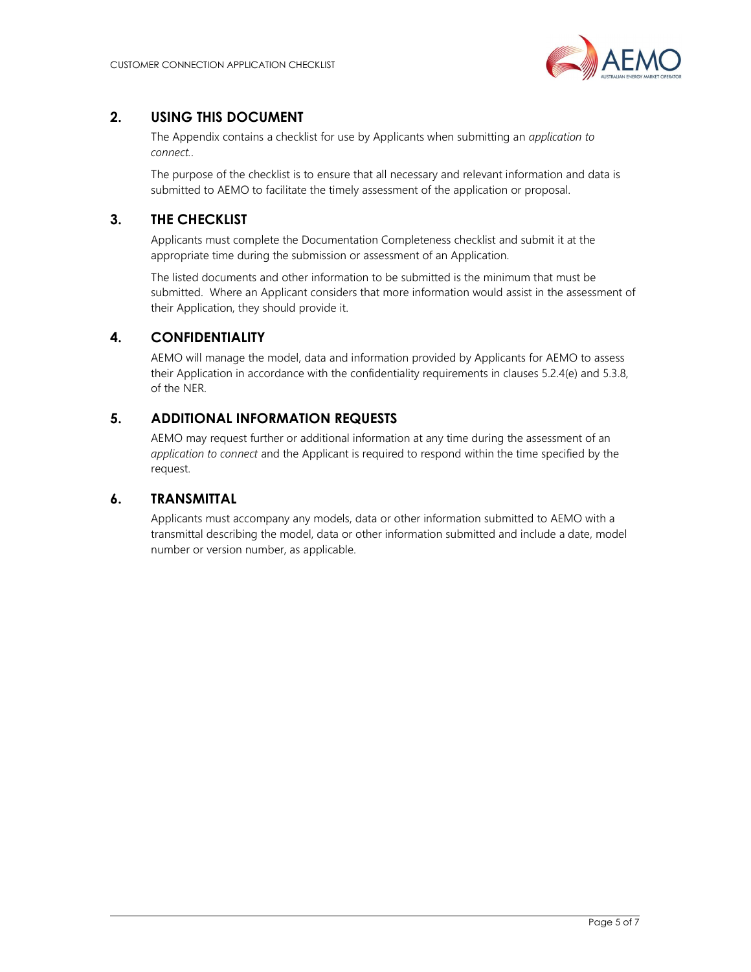

# 2. USING THIS DOCUMENT

The Appendix contains a checklist for use by Applicants when submitting an *application to* connect..

The purpose of the checklist is to ensure that all necessary and relevant information and data is submitted to AEMO to facilitate the timely assessment of the application or proposal.

# 3. THE CHECKLIST

Applicants must complete the Documentation Completeness checklist and submit it at the appropriate time during the submission or assessment of an Application.

The listed documents and other information to be submitted is the minimum that must be submitted. Where an Applicant considers that more information would assist in the assessment of their Application, they should provide it.

## 4. CONFIDENTIALITY

AEMO will manage the model, data and information provided by Applicants for AEMO to assess their Application in accordance with the confidentiality requirements in clauses 5.2.4(e) and 5.3.8, of the NER.

## 5. ADDITIONAL INFORMATION REQUESTS

AEMO may request further or additional information at any time during the assessment of an application to connect and the Applicant is required to respond within the time specified by the request.

## 6. TRANSMITTAL

Applicants must accompany any models, data or other information submitted to AEMO with a transmittal describing the model, data or other information submitted and include a date, model number or version number, as applicable.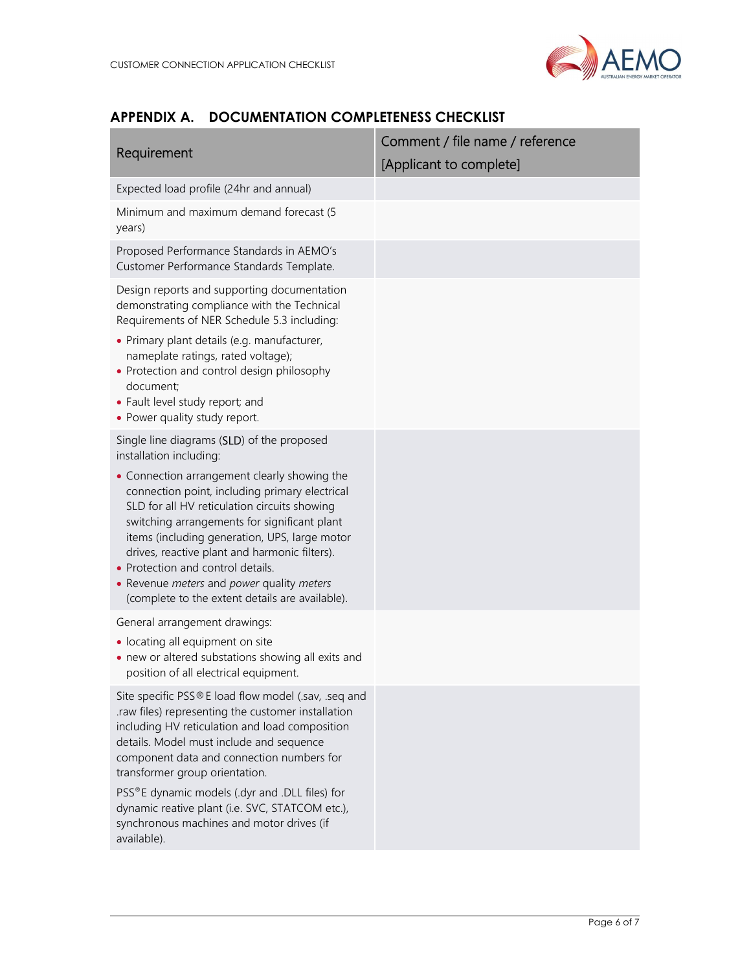

# APPENDIX A. DOCUMENTATION COMPLETENESS CHECKLIST

| Comment / file name / reference |  |
|---------------------------------|--|
| [Applicant to complete]         |  |
|                                 |  |
|                                 |  |
|                                 |  |
|                                 |  |
|                                 |  |
|                                 |  |
|                                 |  |
|                                 |  |
|                                 |  |
|                                 |  |